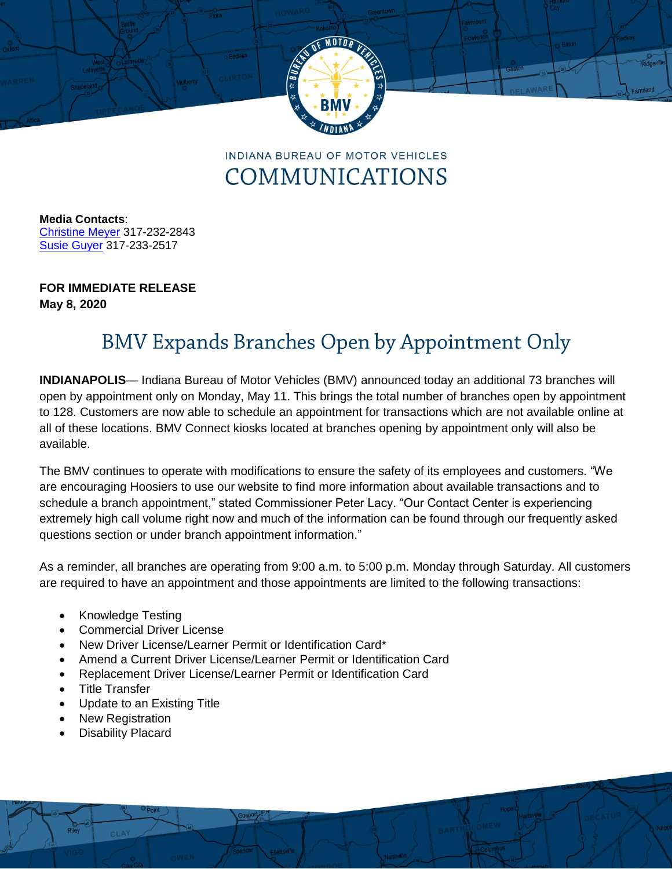

**INDIANA BUREAU OF MOTOR VEHICLES** COMMUNICATIONS

**Media Contacts**: [Christine Meyer](mailto:chmeyer@bmv.in.gov) 317-232-2843 [Susie](mailto:rharkin@bmv.in.gov) Guyer 317-233-2517

## **FOR IMMEDIATE RELEASE May 8, 2020**

## **BMV Expands Branches Open by Appointment Only**

**INDIANAPOLIS**— Indiana Bureau of Motor Vehicles (BMV) announced today an additional 73 branches will open by appointment only on Monday, May 11. This brings the total number of branches open by appointment to 128. Customers are now able to schedule an appointment for transactions which are not available online at all of these locations. BMV Connect kiosks located at branches opening by appointment only will also be available.

The BMV continues to operate with modifications to ensure the safety of its employees and customers. "We are encouraging Hoosiers to use our website to find more information about available transactions and to schedule a branch appointment," stated Commissioner Peter Lacy. "Our Contact Center is experiencing extremely high call volume right now and much of the information can be found through our frequently asked questions section or under branch appointment information."

As a reminder, all branches are operating from 9:00 a.m. to 5:00 p.m. Monday through Saturday. All customers are required to have an appointment and those appointments are limited to the following transactions:

- Knowledge Testing
- Commercial Driver License
- New Driver License/Learner Permit or Identification Card\*
- Amend a Current Driver License/Learner Permit or Identification Card
- Replacement Driver License/Learner Permit or Identification Card
- Title Transfer
- Update to an Existing Title
- New Registration
- Disability Placard